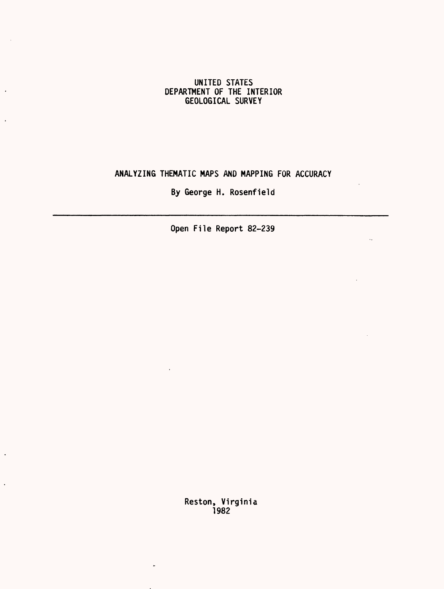## UNITED STATES DEPARTMENT OF THE INTERIOR GEOLOGICAL SURVEY

 $\cdot$ 

 $\overline{a}$ 

 $\ddot{\phantom{a}}$ 

 $\ddot{\phantom{0}}$ 

## ANALYZING THEMATIC MAPS AND MAPPING FOR ACCURACY

By George H. Rosenfield

 $\bar{A}$ 

 $\mathbf{r}$ 

Open File Report 82-239

Reston, Virginia 1982

 $\bar{.}$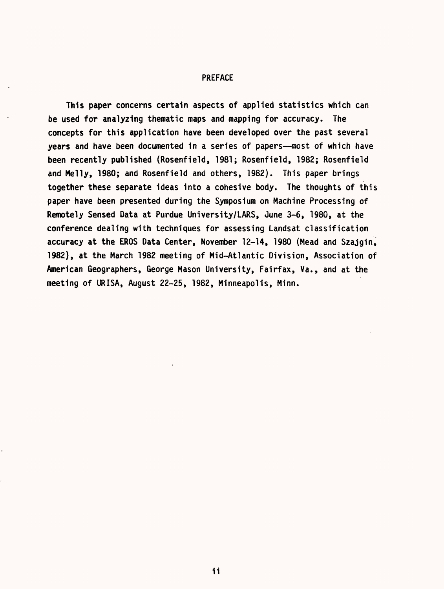#### PREFACE

This paper concerns certain aspects of applied statistics which can be used for analyzing thematic maps and mapping for accuracy. The concepts for this application have been developed over the past several years and have been documented in a series of papers--most of which have been recently published (Rosenfield, 1981; Rosenfield, 1982; Rosenfield and Melly, 1980; and Rosenfield and others, 1982). This paper brings together these separate ideas into a cohesive body. The thoughts of this paper have been presented during the Symposium on Machine Processing of Remotely Sensed Data at Purdue University/LARS, June 3-6, 1980, at the conference dealing with techniques for assessing Landsat classification accuracy at the EROS Data Center, November 12-14, 1980 (Mead and Szajgin, 1982), at the March 1982 meeting of Mid-Atlantic Division, Association of American Geographers, George Mason University, Fairfax, Va., and at the meeting of URISA, August 22-25, 1982, Minneapolis, Minn.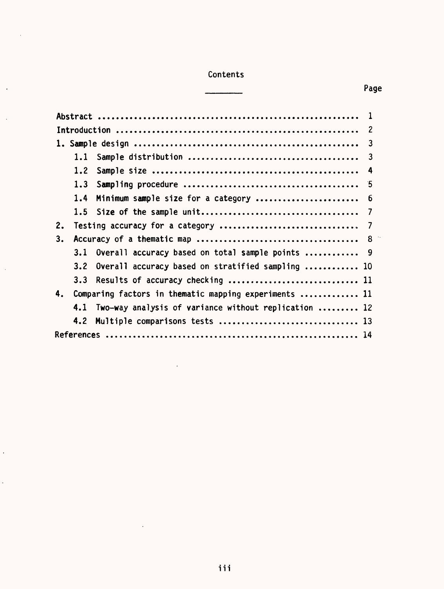# Contents

 $\bar{z}$ 

 $\ddot{\phantom{1}}$ 

 $\bar{\beta}$ 

 $\sim$ 

 $\hat{\mathcal{A}}$ 

 $\hat{\mathcal{L}}$ 

# \_\_\_\_\_ Page

|    | 1.1                                                   |                                                          | $\overline{\mathbf{3}}$ |
|----|-------------------------------------------------------|----------------------------------------------------------|-------------------------|
|    | 1.2 <sub>1</sub>                                      |                                                          | - 4                     |
|    | 1.3                                                   |                                                          |                         |
|    | 1.4                                                   | Minimum sample size for a category  6                    |                         |
|    |                                                       |                                                          | 7                       |
| 2. |                                                       |                                                          |                         |
| 3. |                                                       |                                                          |                         |
|    |                                                       | 3.1 Overall accuracy based on total sample points  9     |                         |
|    |                                                       | 3.2 Overall accuracy based on stratified sampling  10    |                         |
|    |                                                       | 3.3 Results of accuracy checking  11                     |                         |
| 4. | Comparing factors in thematic mapping experiments  11 |                                                          |                         |
|    |                                                       | 4.1 Two-way analysis of variance without replication  12 |                         |
|    |                                                       |                                                          |                         |
|    |                                                       |                                                          |                         |

 $\mathcal{L}^{\text{max}}$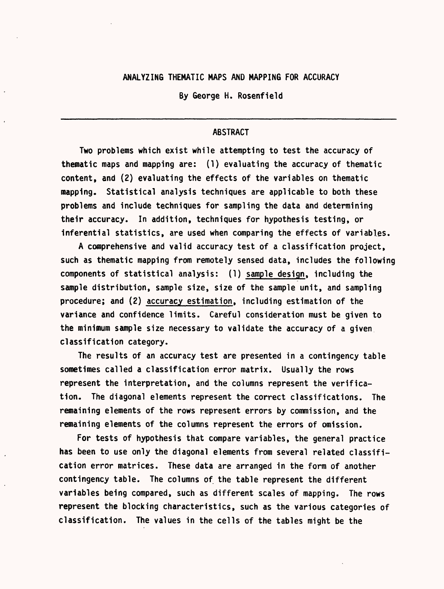### ANALYZING THEMATIC MAPS AND MAPPING FOR ACCURACY

By George H. Rosenfield

## **ABSTRACT**

Two problems which exist while attempting to test the accuracy of thematic maps and mapping are: (1) evaluating the accuracy of thematic content, and (2) evaluating the effects of the variables on thematic mapping. Statistical analysis techniques are applicable to both these problems and include techniques for sampling the data and determining their accuracy. In addition, techniques for hypothesis testing, or inferential statistics, are used when comparing the effects of variables.

A comprehensive and valid accuracy test of a classification project, such as thematic mapping from remotely sensed data, includes the following components of statistical analysis: (1) sample design, including the sample distribution, sample size, size of the sample unit, and sampling procedure; and (2) accuracy estimation, including estimation of the variance and confidence limits. Careful consideration must be given to the minimum sample size necessary to validate the accuracy of a given classification category.

The results of an accuracy test are presented in a contingency table sometimes called a classification error matrix. Usually the rows represent the interpretation, and the columns represent the verification. The diagonal elements represent the correct classifications. The remaining elements of the rows represent errors by commission, and the remaining elements of the columns represent the errors of omission.

For tests of hypothesis that compare variables, the general practice has been to use only the diagonal elements from several related classification error matrices. These data are arranged in the form of another contingency table. The columns of the table represent the different variables being compared, such as different scales of mapping. The rows represent the blocking characteristics, such as the various categories of classification. The values in the cells of the tables might be the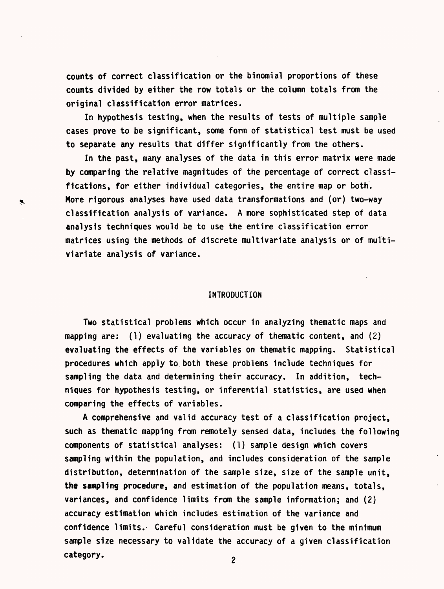counts of correct classification or the binomial proportions of these counts divided by either the row totals or the column totals from the original classification error matrices.

In hypothesis testing, when the results of tests of multiple sample cases prove to be significant, some form of statistical test must be used to separate any results that differ significantly from the others.

In the past, many analyses of the data in this error matrix were made by comparing the relative magnitudes of the percentage of correct classifications, for either individual categories, the entire map or both. More rigorous analyses have used data transformations and (or) two-way classification analysis of variance. A more sophisticated step of data analysis techniques would be to use the entire classification error matrices using the methods of discrete multivariate analysis or of multiviariate analysis of variance.

 $\mathbf{z}$ 

#### INTRODUCTION

Two statistical problems which occur in analyzing thematic maps and mapping are: (1) evaluating the accuracy of thematic content, and (2) evaluating the effects of the variables on thematic mapping. Statistical procedures which apply to,both these problems include techniques for sampling the data and determining their accuracy. In addition, techniques for hypothesis testing, or inferential statistics, are used when comparing the effects of variables.

A comprehensive and valid accuracy test of a classification project, such as thematic mapping from remotely sensed data, includes the following components of statistical analyses: (1) sample design which covers sampling within the population, and includes consideration of the sample distribution, determination of the sample size, size of the sample unit, the sampling procedure, and estimation of the population means, totals, variances, and confidence limits from the sample information; and (2) accuracy estimation which includes estimation of the variance and confidence limits. Careful consideration must be given to the minimum sample size necessary to validate the accuracy of a given classification category.

 $\overline{c}$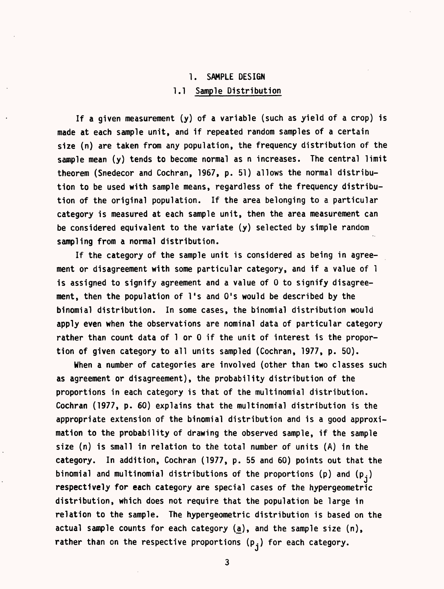## 1. SAMPLE DESIGN 1.1 Sample Distribution

If a given measurement (y) of a variable (such as yield of a crop) is made at each sample unit, and if repeated random samples of a certain size (n) are taken from any population, the frequency distribution of the sample mean (y) tends to become normal as n increases. The central limit theorem (Snedecor and Cochran, 1967, p. 51) allows the normal distribution to be used with sample means, regardless of the frequency distribution of the original population. If the area belonging to a particular category is measured at each sample unit, then the area measurement can be considered equivalent to the variate (y) selected by simple random sampling from a normal distribution.

If the category of the sample unit is considered as being in agreement or disagreement with some particular category, and if a value of 1 is assigned to signify agreement and a value of 0 to signify disagreement, then the population of  $l$ 's and  $0$ 's would be described by the binomial distribution. In some cases, the binomial distribution would apply even when the observations are nominal data of particular category rather than count data of 1 or 0 if the unit of interest is the proportion of given category to all units sampled (Cochran, 1977, p. 50).

When a number of categories are involved (other than two classes such as agreement or disagreement), the probability distribution of the proportions in each category is that of the multinomial distribution. Cochran (1977, p. 60) explains that the multinomial distribution is the appropriate extension of the binomial distribution and is a good approximation to the probability of drawing the observed sample, if the sample size (n) is small in relation to the total number of units (A) in the category. In addition, Cochran (1977, p. 55 and 60) points out that the binomial and multinomial distributions of the proportions (p) and  $(p_i)$ respectively for each category are special cases of the hypergeometric distribution, which does not require that the population be large in relation to the sample. The hypergeometric distribution is based on the actual sample counts for each category (a), and the sample size (n), rather than on the respective proportions  $(\mathsf{p}_{\hat{\mathsf{j}}})$  for each category.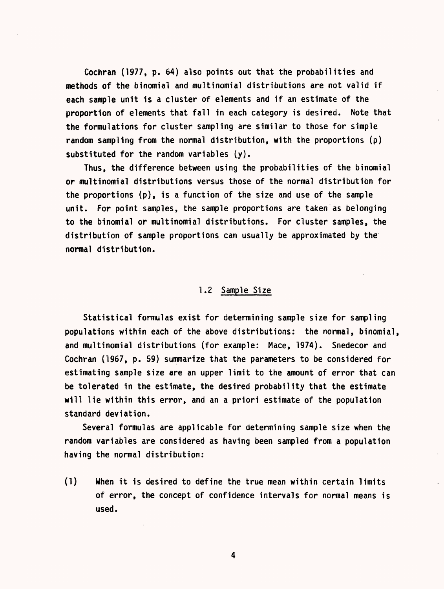Cochran (1977, p. 64) also points out that the probabilities and methods of the binomial and multinomial distributions are not valid if each sample unit is a cluster of elements and if an estimate of the proportion of elements that fall in each category is desired. Note that the formulations for cluster sampling are similar to those for simple random sampling from the normal distribution, with the proportions (p) substituted for the random variables (y).

Thus, the difference between using the probabilities of the binomial or multinomial distributions versus those of the normal distribution for the proportions (p), is a function of the size and use of the sample unit. For point samples, the sample proportions are taken as belonging to the binomial or multinomial distributions. For cluster samples, the distribution of sample proportions can usually be approximated by the normal distribution.

## 1.2 Sample Size

Statistical formulas exist for determining sample size for sampling populations within each of the above distributions: the normal, binomial, and multinomial distributions (for example: Mace, 1974). Snedecor and Cochran (1967, p. 59) summarize that the parameters to be considered for estimating sample size are an upper limit to the amount of error that can be tolerated in the estimate, the desired probability that the estimate will lie within this error, and an a priori estimate of the population standard deviation.

Several formulas are applicable for determining sample size when the random variables are considered as having been sampled from a population having the normal distribution:

(1) When it is desired to define the true mean within certain limits of error, the concept of confidence intervals for normal means is used.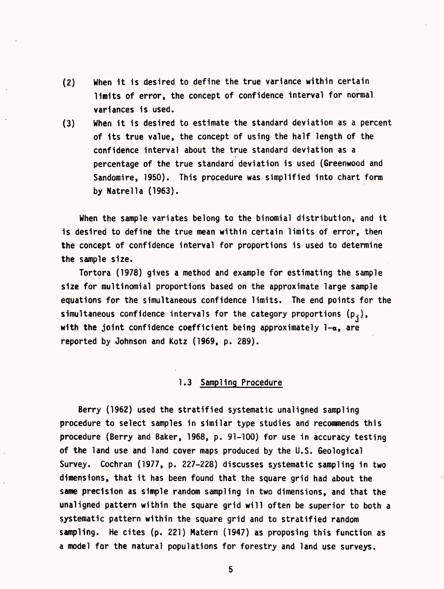- (2) When it is desired to define the true variance within certain limits of error, the concept of confidence interval for normal variances is used.
- (3) When it is desired to estimate the standard deviation as a percent of its true value, the concept of using the half length of the confidence interval about the true standard deviation as a percentage of the true standard deviation is used (Greenwood and Sandomire, 1950). This procedure was simplified into chart form by Natrella (1963).

When the sample variates belong to the binomial distribution, and it is desired to define the true mean within certain limits of error, then the concept of confidence interval for proportions is used to determine the sample size.

Tortora (1978) gives a method and example for estimating the sample size for multinomial proportions based on the approximate large sample equations for the simultaneous confidence limits. The end points for the simultaneous confidence intervals for the category proportions  $(p_i)$ , with the joint confidence coefficient being approximately  $1-\alpha$ , are reported by Johnson and Kotz (1969, p. 289).

## 1.3 Sampling Procedure

Berry (1962) used the stratified systematic unaligned sampling procedure to select samples in similar type studies and recommends this procedure (Berry and Baker, 1968, p. 91-100) for use in accuracy testing of the land use and land cover maps produced by the U.S. Geological Survey. Cochran (1977, p. 227-228) discusses systematic sampling in two dimensions, that it has been found that the square grid had about the same precision as simple random sampling in two dimensions, and that the unaligned pattern within the square grid will often be superior to both a systematic pattern within the square grid and to stratified random sampling. He cites (p. 221) Matern (1947) as proposing this function as a model for the natural populations for forestry and land use surveys.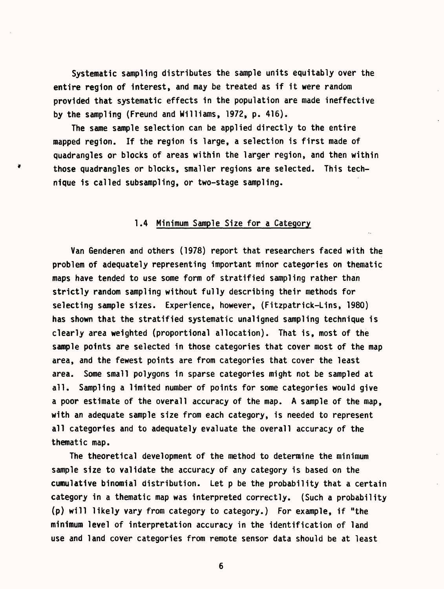Systematic sampling distributes the sample units equitably over the entire region of interest, and may be treated as if it were random provided that systematic effects in the population are made ineffective by the sampling (Freund and Williams, 1972, p. 416).

The same sample selection can be applied directly to the entire mapped region. If the region is large, a selection is first made of quadrangles or blocks of areas within the larger region, and then within those quadrangles or blocks, smaller regions are selected. This technique is called subsampling, or two-stage sampling.

## 1.4 Minimum Sample Size for a Category

Van Genderen and others (1978) report that researchers faced with the problem of adequately representing important minor categories on thematic maps have tended to use some form of stratified sampling rather than strictly random sampling without fully describing their methods for selecting sample sizes. Experience, however, (Fitzpatrick-Lins, 1980) has shown that the stratified systematic unaligned sampling technique is clearly area weighted (proportional allocation). That is, most of the sample points are selected in those categories that cover most of the map area, and the fewest points are from categories that cover the least area. Some small polygons in sparse categories might not be sampled at all. Sampling a limited number of points for some categories would give a poor estimate of the overall accuracy of the map. A sample of the map, with an adequate sample size from each category, is needed to represent all categories and to adequately evaluate the overall accuracy of the thematic map.

The theoretical development of the method to determine the minimum sample size to validate the accuracy of any category is based on the cumulative binomial distribution. Let p be the probability that a certain category in a thematic map was interpreted correctly. (Such a probability (p) will likely vary from category to category.) For example, if "the minimum level of interpretation accuracy in the identification of land use and land cover categories from remote sensor data should be at least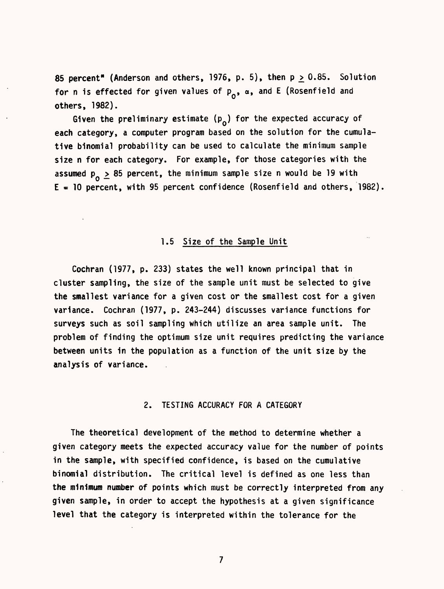85 percent" (Anderson and others, 1976, p. 5), then  $p \ge 0.85$ . Solution for n is effected for given values of  $p_{0}$ ,  $\alpha$ , and E (Rosenfield and others, 1982).

Given the preliminary estimate  $(p_{o})$  for the expected accuracy of each category, a computer program based on the solution for the cumulative binomial probability can be used to calculate the minimum sample size n for each category. For example, for those categories with the assumed  $p_{0} \ge 85$  percent, the minimum sample size n would be 19 with  $E = 10$  percent, with 95 percent confidence (Rosenfield and others, 1982).

#### 1.5 Size of the Sample Unit

Cochran (1977, p. 233) states the well known principal that in cluster sampling, the size of the sample unit must be selected to give the smallest variance for a given cost or the smallest cost for a given variance. Cochran (1977, p. 243-244) discusses variance functions for surveys such as soil sampling which utilize an area sample unit. The problem of finding the optimum size unit requires predicting the variance between units in the population as a function of the unit size by the analysis of variance.

#### 2. TESTING ACCURACY FOR A CATEGORY

The theoretical development of the method to determine whether a given category meets the expected accuracy value for the number of points in the sample, with specified confidence, is based on the cumulative binomial distribution. The critical level is defined as one less than the minimum number of points which must be correctly interpreted from any given sample, in order to accept the hypothesis at a given significance level that the category is interpreted within the tolerance for the

 $\overline{7}$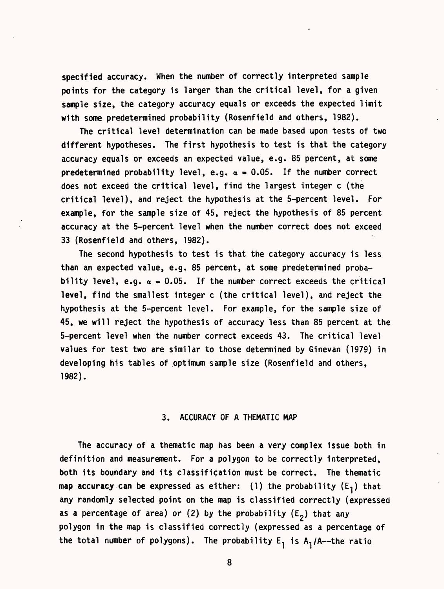specified accuracy. When the number of correctly interpreted sample points for the category is larger than the critical level, for a given sample size, the category accuracy equals or exceeds the expected limit with some predetermined probability (Rosenfield and others, 1982).

The critical level determination can be made based upon tests of two different hypotheses. The first hypothesis to test is that the category accuracy equals or exceeds an expected value, e.g. 85 percent, at some predetermined probability level, e.g.  $\alpha = 0.05$ . If the number correct does not exceed the critical level, find the largest integer c (the critical level), and reject the hypothesis at the 5-percent level. For example, for the sample size of 45, reject the hypothesis of 85 percent accuracy at the 5-percent level when the number correct does not exceed 33 (Rosenfield and others, 1982).

The second hypothesis to test is that the category accuracy is less than an expected value, e.g. 85 percent, at some predetermined probability level, e.g.  $\alpha = 0.05$ . If the number correct exceeds the critical level, find the smallest integer c (the critical level), and reject the hypothesis at the 5-percent level. For example, for the sample size of 45, we will reject the hypothesis of accuracy less than 85 percent at the 5-percent level when the number correct exceeds 43. The critical level values for test two are similar to those determined by Ginevan (1979) in developing his tables of optimum sample size (Rosenfield and others, 1982).

#### 3. ACCURACY OF A THEMATIC MAP

The accuracy of a thematic map has been a very complex issue both in definition and measurement. For a polygon to be correctly interpreted, both its boundary and its classification must be correct. The thematic map accuracy can be expressed as either: (1) the probability  $(E_1)$  that any randomly selected point on the map is classified correctly (expressed as a percentage of area) or (2) by the probability ( $E_2$ ) that any polygon in the map is classified correctly (expressed as a percentage of the total number of polygons). The probability  $E_1$  is  $A_1/A$ --the ratio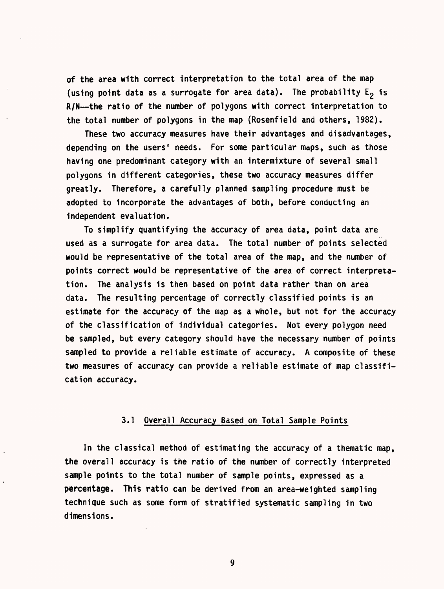of the area with correct interpretation to the total area of the map (using point data as a surrogate for area data). The probability  $E_2$  is  $R/N$ —the ratio of the number of polygons with correct interpretation to the total number of polygons in the map (Rosenfield and others, 1982).

These two accuracy measures have their advantages and disadvantages, depending on the users' needs. For some particular maps, such as those having one predominant category with an intermixture of several small polygons in different categories, these two accuracy measures differ greatly. Therefore, a carefully planned sampling procedure must be adopted to incorporate the advantages of both, before conducting an independent evaluation.

To simplify quantifying the accuracy of area data, point data are used as a surrogate for area data. The total number of points selected would be representative of the total area of the map, and the number of points correct would be representative of the area of correct interpretation. The analysis is then based on point data rather than on area data. The resulting percentage of correctly classified points is an estimate for the accuracy of the map as a whole, but not for the accuracy of the classification of individual categories. Not every polygon need be sampled, but every category should have the necessary number of points sampled to provide a reliable estimate of accuracy. A composite of these two measures of accuracy can provide a reliable estimate of map classification accuracy.

### 3.1 Overall Accuracy Based on Total Sample Points

In the classical method of estimating the accuracy of a thematic map, the overall accuracy is the ratio of the number of correctly interpreted sample points to the total number of sample points, expressed as a percentage. This ratio can be derived from an area-weighted sampling technique such as some form of stratified systematic sampling in two dimensions.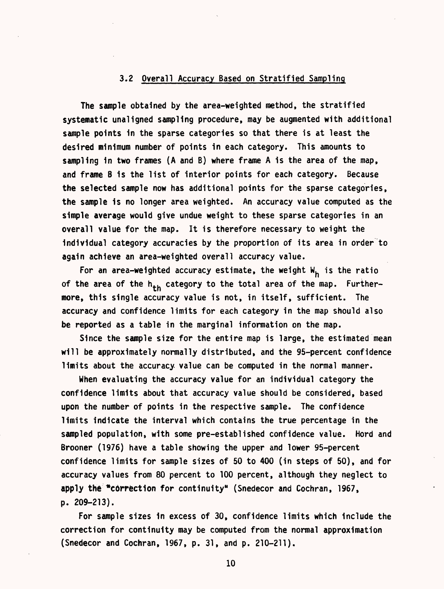#### 3.2 Overall Accuracy Based on Stratified Sampling

The sample obtained by the area-weighted method, the stratified systematic unaligned sampling procedure, may be augmented with additional sample points in the sparse categories so that there is at least the desired minimum number of points in each category. This amounts to sampling in two frames (A and B) where frame A is the area of the map, and frame B is the list of interior points for each category. Because the selected sample now has additional points for the sparse categories, the sample is no longer area weighted. An accuracy value computed as the simple average would give undue weight to these sparse categories in an overall value for the map. It is therefore necessary to weight the individual category accuracies by the proportion of its area in order to again achieve an area-weighted overall accuracy value.

For an area-weighted accuracy estimate, the weight  $W_h$  is the ratio of the area of the  $h_{th}$  category to the total area of the map. Furthermore, this single accuracy value is not, in itself, sufficient. The accuracy and confidence limits for each category in the map should also be reported as a table in the marginal information on the map.

Since the sample size for the entire map is large, the estimated mean will be approximately normally distributed, and the 95-percent confidence limits about the accuracy value can be computed in the normal manner.

When evaluating the accuracy value for an individual category the confidence limits about that accuracy value should be considered, based upon the number of points in the respective sample. The confidence limits indicate the interval which contains the true percentage in the sampled population, with some pre-established confidence value. Hord and Brooner (1976) have a table showing the upper and lower 95-percent confidence limits for sample sizes of 50 to 400 (in steps of 50), and for accuracy values from 80 percent to 100 percent, although they neglect to apply the "correction for continuity" (Snedecor and Cochran, 1967, p. 209-213).

For sample sizes in excess of 30, confidence limits which Include the correction for continuity may be computed from the normal approximation (Snedecor and Cochran, 1967, p. 31, and p. 210-211).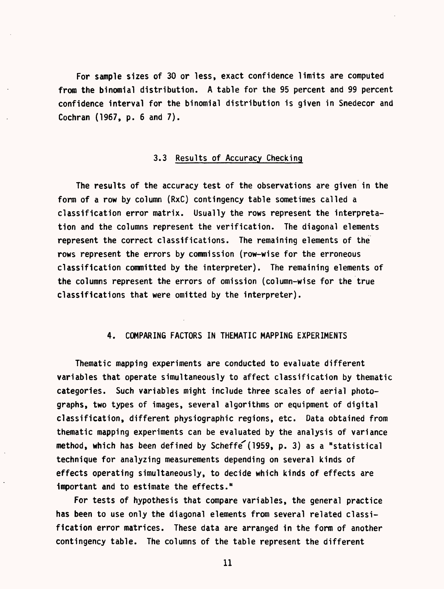For sample sizes of 30 or less, exact confidence limits are computed from the binomial distribution. A table for the 95 percent and 99 percent confidence interval for the binomial distribution is given in Snedecor and Cochran (1967, p. 6 and 7).

### 3.3 Results of Accuracy Checking

The results of the accuracy test of the observations are given in the form of a row by column (RxC) contingency table sometimes called a classification error matrix. Usually the rows represent the interpretation and the columns represent the verification. The diagonal elements represent the correct classifications. The remaining elements of the rows represent the errors by commission (row-wise for the erroneous classification committed by the interpreter). The remaining elements of the columns represent the errors of omission (column-wise for the true classifications that were omitted by the interpreter).

## 4. COMPARING FACTORS IN THEMATIC MAPPING EXPERIMENTS

Thematic mapping experiments are conducted to evaluate different variables that operate simultaneously to affect classification by thematic categories. Such variables might include three scales of aerial photographs, two types of images, several algorithms or equipment of digital classification, different physiographic regions, etc. Data obtained from thematic mapping experiments can be evaluated by the analysis of variance method, which has been defined by Scheffe (1959, p. 3) as a "statistical technique for analyzing measurements depending on several kinds of effects operating simultaneously, to decide which kinds of effects are important and to estimate the effects."

For tests of hypothesis that compare variables, the general practice has been to use only the diagonal elements from several related classification error matrices. These data are arranged in the form of another contingency table. The columns of the table represent the different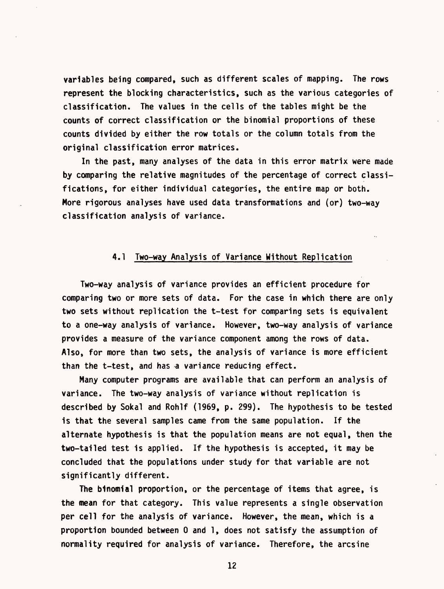variables being compared, such as different scales of mapping. The rows represent the blocking characteristics, such as the various categories of classification. The values in the cells of the tables might be the counts of correct classification or the binomial proportions of these counts divided by either the row totals or the column totals from the original classification error matrices.

In the past, many analyses of the data in this error matrix were made by comparing the relative magnitudes of the percentage of correct classifications, for either individual categories, the entire map or both. More rigorous analyses have used data transformations and (or) two-way classification analysis of variance.

## 4.1 Two-way Analysis of Variance Without Replication

Two-way analysis of variance provides an efficient procedure for comparing two or more sets of data. For the case in which there are only two sets without replication the t-test for comparing sets is equivalent to a one-way analysis of variance. However, two-way analysis of variance provides a measure of the variance component among the rows of data. Also, for more than two sets, the analysis of variance is more efficient than the t-test, and has a variance reducing effect.

Many computer programs are available that can perform an analysis of variance. The two-way analysis of variance without replication is described by Sokal and Rohlf (1969, p. 299). The hypothesis to be tested is that the several samples came from the same population. If the alternate hypothesis is that the population means are not equal, then the two-tailed test is applied. If the hypothesis is accepted, it may be concluded that the populations under study for that variable are not significantly different.

The btnomial proportion, or the percentage of items that agree, is the mean for that category. This value represents a single observation per cell for the analysis of variance. However, the mean, which is a proportion bounded between 0 and 1, does not satisfy the assumption of normality required for analysis of variance. Therefore, the arcsine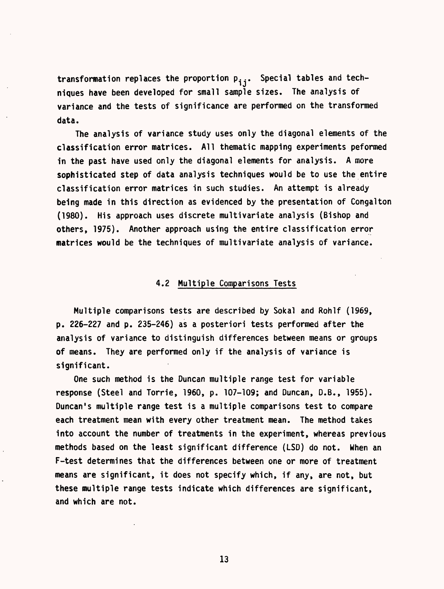transformation replaces the proportion  $p_{i,j}$ . Special tables and techniques have been developed for small sample sizes. The analysis of variance and the tests of significance are performed on the transformed data.

The analysis of variance study uses only the diagonal elements of the classification error matrices. All thematic mapping experiments peformed in the past have used only the diagonal elements for analysis. A more sophisticated step of data analysis techniques would be to use the entire classification error matrices in such studies. An attempt is already being made in this direction as evidenced by the presentation of Congalton (1980). His approach uses discrete multivariate analysis (Bishop and others, 1975). Another approach using the entire classification error matrices would be the techniques of multivariate analysis of variance.

## 4.2 Multiple Comparisons Tests

Multiple comparisons tests are described by Sokal and Rohlf (1969, p. 226-227 and p. 235-246) as a posteriori tests performed after the analysis of variance to distinguish differences between means or groups of means. They are performed only if the analysis of variance is significant.

One such method is the Duncan multiple range test for variable response (Steel and Torrie, 1960, p. 107-109; and Duncan, D.B., 1955). Duncan's multiple range test is a multiple comparisons test to compare each treatment mean with every other treatment mean. The method takes into account the number of treatments in the experiment, whereas previous methods based on the least significant difference (LSD) do not. When an F-test determines that the differences between one or more of treatment means are significant, it does not specify which, if any, are not, but these multiple range tests indicate which differences are significant, and which are not.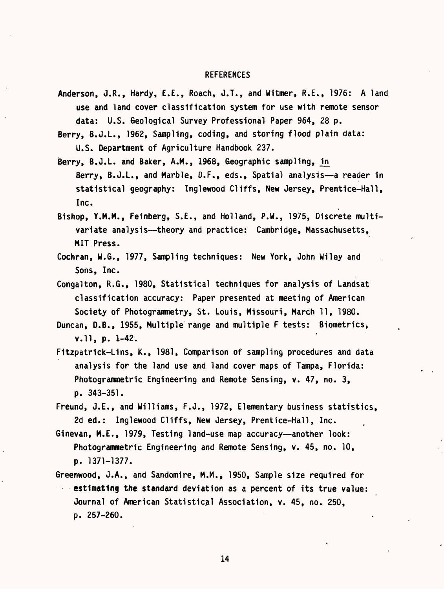#### REFERENCES

Anderson, J.R., Hardy, E.E., Roach, J.T., and Witmer, R.E., 1976: A land use and land cover classification system for use with remote sensor data: U.S. Geological Survey Professional Paper 964, 28 p.

Berry, B.J.L., 1962, Sampling, coding, and storing flood plain data: U.S. Department of Agriculture Handbook 237.

- Berry, B.J.L. and Baker, A.M., 1968, Geographic sampling, in Berry, B.J.L., and Marble, D.F., eds., Spatial analysis-a reader in statistical geography: Inglewood Cliffs, New Jersey, Prentice-Hall, Inc.
- Bishop, Y.M.M., Feinberg, S.E., and Holland, P.M., 1975, Discrete multivariate analysis--theory and practice: Cambridge, Massachusetts, MIT Press.
- Cochran, W.G., 1977, Sampling techniques: New York, John Wiley and Sons, Inc.
- Congalton, R.G., 1980, Statistical techniques for analysis of Landsat classification accuracy: Paper presented at meeting of American Society of Photogrammetry, St. Louis, Missouri, March 11, 1980.
- Duncan, D.B., 1955, Multiple range and multiple F tests: Biometrics, v.ll, p. 1-42.
- Fitzpatrick-Lins, K., 1981, Comparison of sampling procedures and data analysis for the land use and land cover maps of Tampa, Florida: Photogrammetric Engineering and Remote Sensing, v. 47, no. 3, p. 343-351.
- Freund, J.E., and Williams, F.J., 1972, Elementary business statistics, 2d ed.: Inglewood Cliffs, New Jersey, Prentice-Hall, Inc.
- Ginevan, M.E., 1979, Testing land-use map accuracy--another look: Photogrammetric Engineering and Remote Sensing, v. 45, no. 10, p. 1371-1377.

Greenwood, J.A., and Sandomire, M.M., 1950, Sample size required for

estimating the standard deviation as a percent of its true value: Journal of American Statistical Association, v. 45, no. 250, p. 257-260.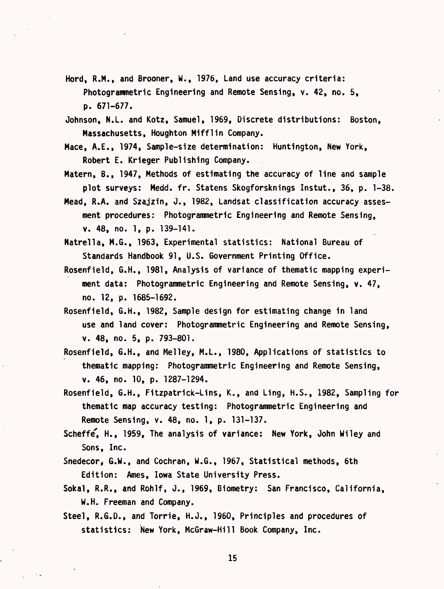- Hord, R.M., and Brooner, W., 1976, Land use accuracy criteria: Photogrammetric Engineering and Remote Sensing, v. 42, no. 5, p. 671-677.
- Johnson, N.L. and Kotz, Samuel, 1969, Discrete distributions: Boston, Massachusetts, Houghton Mifflin Company.
- Mace, A.E., 1974, Sample-size determination: Huntington, New York, Robert E. Krieger Publishing Company.
- Matern, B., 1947, Methods of estimating the accuracy of line and sample plot surveys: Medd. fr. Statens Skogforsknings Instut., 36, p. 1-38.
- Mead, R.A. and Szajzin, J., 1982, Landsat classification accuracy assesment procedures: Photogrammetric Engineering and Remote Sensing, v. 48, no. 1, p. 139-141.
- Natrella, M.G., 1963, Experimental statistics: National Bureau of Standards Handbook 91, U.S. Government Printing Office.
- Rosenfield, G.H., 1981, Analysis of variance of thematic mapping experiment data: Photogrammetric Engineering and Remote Sensing, v. 47, no. 12, p. 1685-1692.
- Rosenfield, G.H., 1982, Sample design for estimating change in land use and land cover: Photogrammetric Engineering and Remote Sensing, v. 48, no. 5, p. 793-801.
- Rosenfield, G.H., and Melley, M.L., 1980, Applications of statistics to thematic mapping: Photogrammetric Engineering and Remote Sensing, v. 46, no. 10, p. 1287-1294.
- Rosenfield, G.H., Fitzpatrick-Lins, K., and Ling, H.S., 1982, Sampling for thematic map accuracy testing: Photogrammetric Engineering and Remote Sensing, v. 48, no. 1, p. 131-137.
- Scheffe', H., 1959, The analysis of variance: New York, John Wiley and Sons, Inc.
- Snedecor, G.W., and Cochran, W.G., 1967, Statistical methods, 6th Edition: Ames, Iowa State University Press.
- Sokal, R.R., and Rohlf, J., 1969, Biometry: San Francisco, California, W.H. Freeman and Company.
- Steel, R.G.D., and Torrie, H.J., 1960, Principles and procedures of statistics: New York, McGraw-Hill Book Company, Inc.